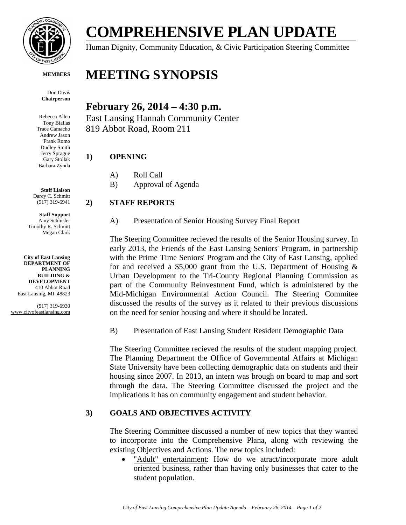

**MEMBERS**

Don Davis **Chairperson**

Rebecca Allen Tony Biallas Trace Camacho Andrew Jason Frank Romo Dudley Smith Jerry Sprague Gary Stollak Barbara Zynda

**Staff Liaison** Darcy C. Schmitt (517) 319-6941

**Staff Support** Amy Schlusler Timothy R. Schmitt Megan Clark

**City of East Lansing DEPARTMENT OF PLANNING BUILDING & DEVELOPMENT** 410 Abbot Road East Lansing, MI 48823

(517) 319-6930 www.cityofeastlansing.com

# **COMPREHENSIVE PLAN UPDATE**

Human Dignity, Community Education, & Civic Participation Steering Committee

## **MEETING SYNOPSIS**

### **February 26, 2014 – 4:30 p.m.**

East Lansing Hannah Community Center 819 Abbot Road, Room 211

#### **1) OPENING**

- A) Roll Call
- B) Approval of Agenda

#### **2) STAFF REPORTS**

A) Presentation of Senior Housing Survey Final Report

The Steering Committee recieved the results of the Senior Housing survey. In early 2013, the Friends of the East Lansing Seniors' Program, in partnership with the Prime Time Seniors' Program and the City of East Lansing, applied for and received a \$5,000 grant from the U.S. Department of Housing  $\&$ Urban Development to the Tri-County Regional Planning Commission as part of the Community Reinvestment Fund, which is administered by the Mid-Michigan Environmental Action Council. The Steering Commitee discussed the results of the survey as it related to their previous discussions on the need for senior housing and where it should be located.

B) Presentation of East Lansing Student Resident Demographic Data

The Steering Committee recieved the results of the student mapping project. The Planning Department the Office of Governmental Affairs at Michigan State University have been collecting demographic data on students and their housing since 2007. In 2013, an intern was brough on board to map and sort through the data. The Steering Committee discussed the project and the implications it has on community engagement and student behavior.

#### **3) GOALS AND OBJECTIVES ACTIVITY**

The Steering Committee discussed a number of new topics that they wanted to incorporate into the Comprehensive Plana, along with reviewing the existing Objectives and Actions. The new topics included:

 "Adult" entertainment: How do we atract/incorporate more adult oriented business, rather than having only businesses that cater to the student population.